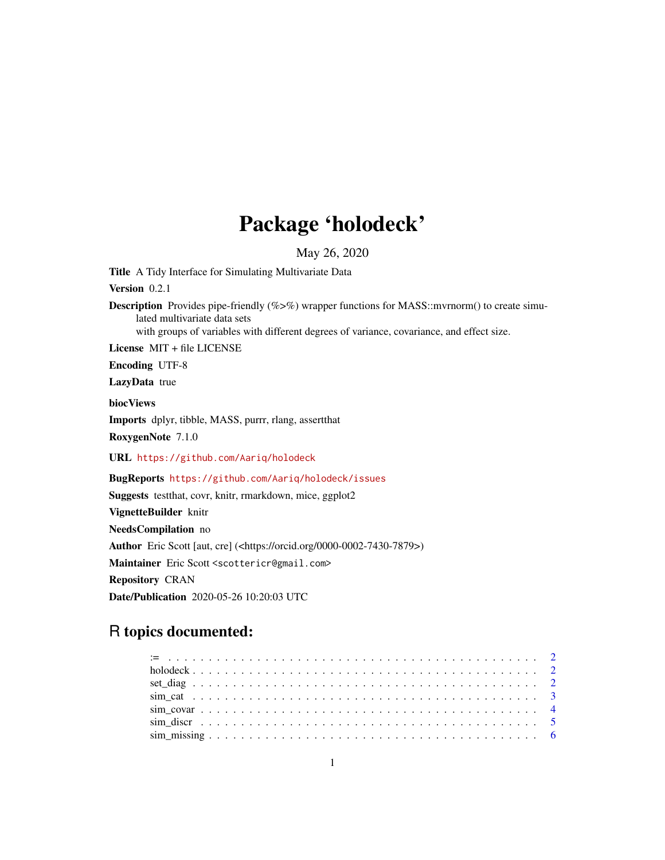## Package 'holodeck'

May 26, 2020

Title A Tidy Interface for Simulating Multivariate Data

Version 0.2.1

**Description** Provides pipe-friendly (% $\gg$ %) wrapper functions for MASS::mvrnorm() to create simulated multivariate data sets

with groups of variables with different degrees of variance, covariance, and effect size.

License MIT + file LICENSE

Encoding UTF-8

LazyData true

biocViews

Imports dplyr, tibble, MASS, purrr, rlang, assertthat

RoxygenNote 7.1.0

URL <https://github.com/Aariq/holodeck>

BugReports <https://github.com/Aariq/holodeck/issues>

Suggests testthat, covr, knitr, rmarkdown, mice, ggplot2 VignetteBuilder knitr NeedsCompilation no Author Eric Scott [aut, cre] (<https://orcid.org/0000-0002-7430-7879>) Maintainer Eric Scott <scottericr@gmail.com> Repository CRAN Date/Publication 2020-05-26 10:20:03 UTC

### R topics documented:

| $\sin$ discretion $\sin$ . $\sin$ . $\sin$ . $\sin$ . $\sin$ . $\sin$ . $\sin$ . $\sin$ . $\sin$ . $\sin$ . $\sin$ . $\sin$ . $\sin$ . $\sin$ |  |
|-----------------------------------------------------------------------------------------------------------------------------------------------|--|
|                                                                                                                                               |  |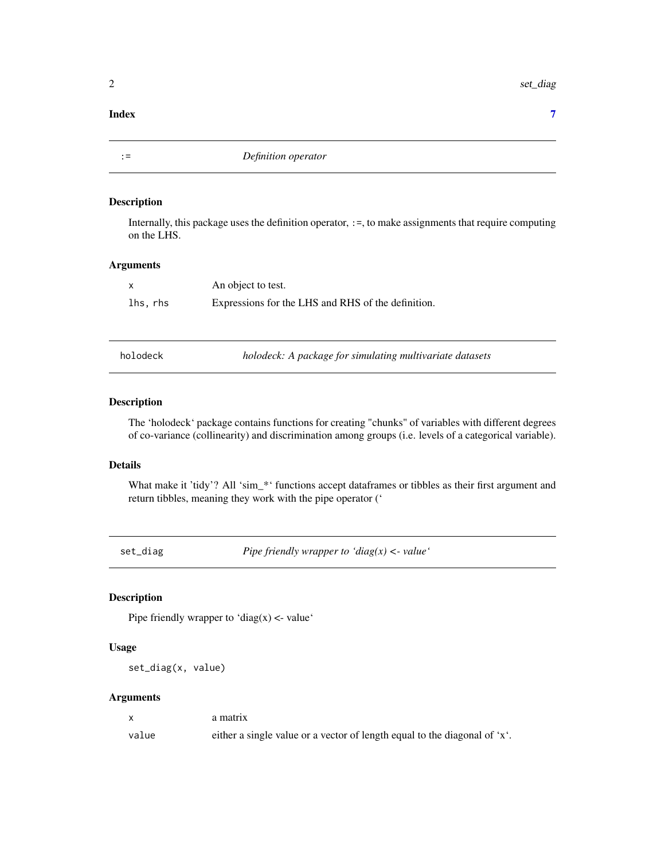<span id="page-1-0"></span>2 set\_diag

#### **Index** [7](#page-6-0) **7**

:= *Definition operator*

#### Description

Internally, this package uses the definition operator, :=, to make assignments that require computing on the LHS.

#### Arguments

| $\mathsf{x}$ | An object to test.                                 |
|--------------|----------------------------------------------------|
| lhs, rhs     | Expressions for the LHS and RHS of the definition. |

holodeck *holodeck: A package for simulating multivariate datasets*

#### Description

The 'holodeck' package contains functions for creating "chunks" of variables with different degrees of co-variance (collinearity) and discrimination among groups (i.e. levels of a categorical variable).

#### Details

What make it 'tidy'? All 'sim\_\*' functions accept dataframes or tibbles as their first argument and return tibbles, meaning they work with the pipe operator ('

set\_diag *Pipe friendly wrapper to 'diag(x) <- value'*

#### Description

Pipe friendly wrapper to 'diag(x)  $\lt$ - value'

#### Usage

set\_diag(x, value)

#### Arguments

|       | a matrix                                                                  |
|-------|---------------------------------------------------------------------------|
| value | either a single value or a vector of length equal to the diagonal of 'x'. |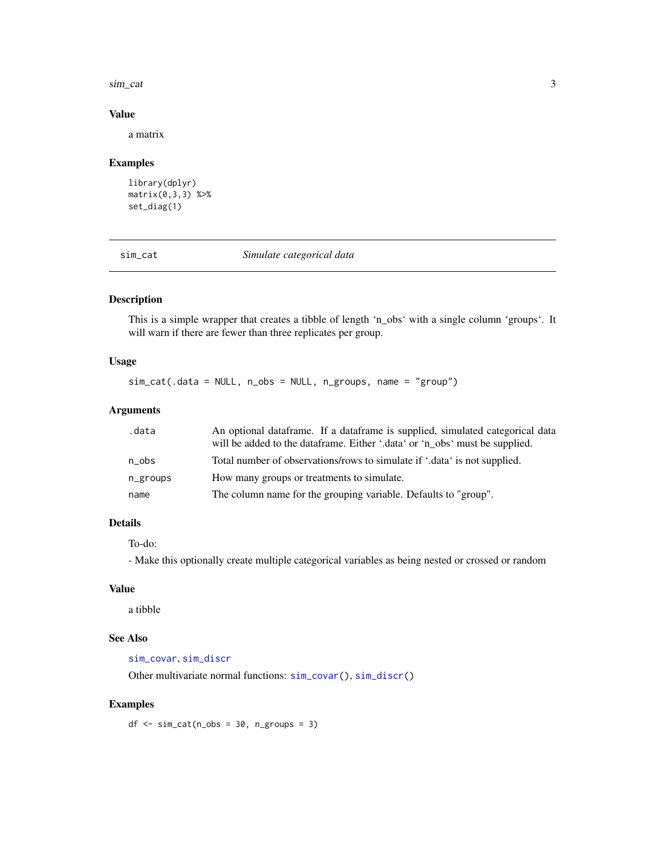#### <span id="page-2-0"></span>sim\_cat 3

#### Value

a matrix

#### Examples

```
library(dplyr)
matrix(0,3,3) %>%
set_diag(1)
```
<span id="page-2-1"></span>sim\_cat *Simulate categorical data*

#### Description

This is a simple wrapper that creates a tibble of length 'n\_obs' with a single column 'groups'. It will warn if there are fewer than three replicates per group.

#### Usage

sim\_cat(.data = NULL, n\_obs = NULL, n\_groups, name = "group")

#### Arguments

| .data    | An optional data frame. If a data frame is supplied, simulated categorical data |
|----------|---------------------------------------------------------------------------------|
|          | will be added to the data frame. Either '.data' or 'n_obs' must be supplied.    |
| n obs    | Total number of observations/rows to simulate if '.data' is not supplied.       |
| n_groups | How many groups or treatments to simulate.                                      |
| name     | The column name for the grouping variable. Defaults to "group".                 |

#### Details

To-do:

- Make this optionally create multiple categorical variables as being nested or crossed or random

#### Value

a tibble

#### See Also

[sim\\_covar](#page-3-1), [sim\\_discr](#page-4-1)

Other multivariate normal functions: [sim\\_covar\(](#page-3-1)), [sim\\_discr\(](#page-4-1))

#### Examples

 $df \le -\sin\left(\frac{n\cos x}{n}\right) = 30$ ,  $n\arcsin x$  = 3)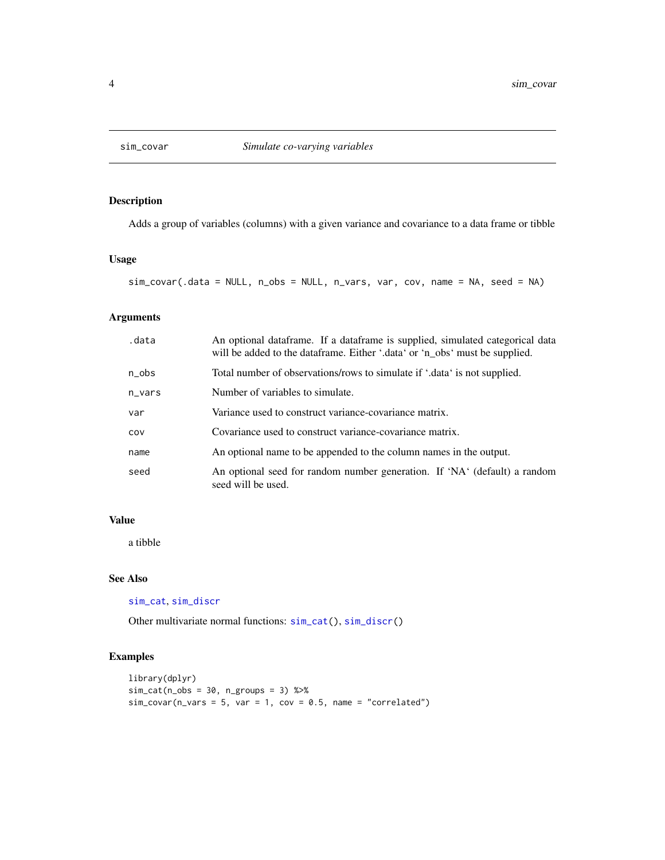<span id="page-3-1"></span><span id="page-3-0"></span>

#### Description

Adds a group of variables (columns) with a given variance and covariance to a data frame or tibble

#### Usage

sim\_covar(.data = NULL, n\_obs = NULL, n\_vars, var, cov, name = NA, seed = NA)

#### Arguments

| .data     | An optional data frame. If a data frame is supplied, simulated categorical data<br>will be added to the data frame. Either '.data' or 'n_obs' must be supplied. |
|-----------|-----------------------------------------------------------------------------------------------------------------------------------------------------------------|
| $n_{obs}$ | Total number of observations/rows to simulate if '.data' is not supplied.                                                                                       |
| $n_vars$  | Number of variables to simulate.                                                                                                                                |
| var       | Variance used to construct variance-covariance matrix.                                                                                                          |
| COV       | Covariance used to construct variance-covariance matrix.                                                                                                        |
| name      | An optional name to be appended to the column names in the output.                                                                                              |
| seed      | An optional seed for random number generation. If 'NA' (default) a random<br>seed will be used.                                                                 |

#### Value

a tibble

#### See Also

```
sim_cat, sim_discr
```
Other multivariate normal functions: [sim\\_cat\(](#page-2-1)), [sim\\_discr\(](#page-4-1))

#### Examples

```
library(dplyr)
sim\_cat(n\_obs = 30, n\_groups = 3) %>%
sim\_covar(n\_vars = 5, var = 1, cov = 0.5, name = "correlated")
```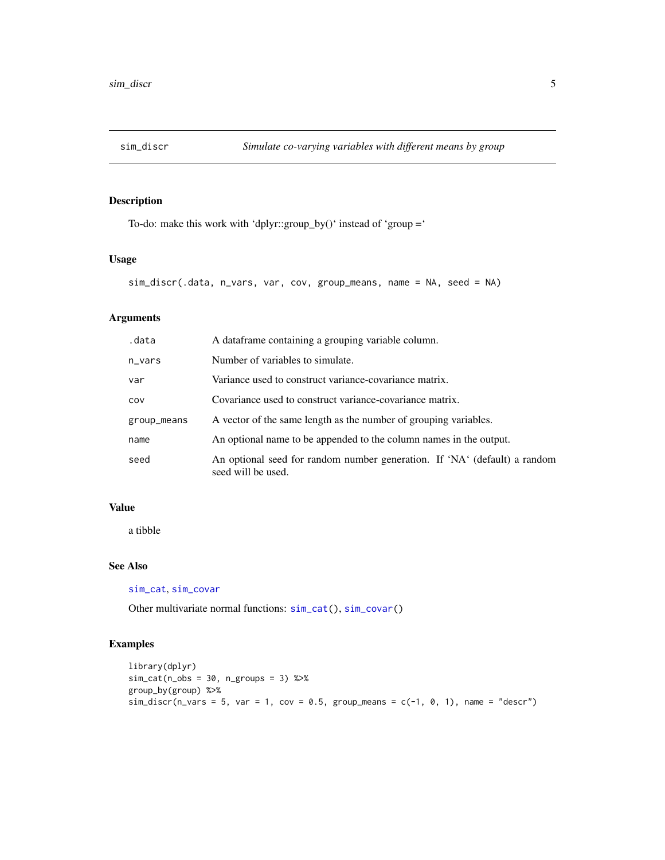<span id="page-4-1"></span><span id="page-4-0"></span>

#### Description

To-do: make this work with 'dplyr::group\_by()' instead of 'group ='

#### Usage

```
sim_discr(.data, n_vars, var, cov, group_means, name = NA, seed = NA)
```
#### Arguments

| .data       | A dataframe containing a grouping variable column.                                              |
|-------------|-------------------------------------------------------------------------------------------------|
| n_vars      | Number of variables to simulate.                                                                |
| var         | Variance used to construct variance-covariance matrix.                                          |
| COV         | Covariance used to construct variance-covariance matrix.                                        |
| group_means | A vector of the same length as the number of grouping variables.                                |
| name        | An optional name to be appended to the column names in the output.                              |
| seed        | An optional seed for random number generation. If 'NA' (default) a random<br>seed will be used. |

#### Value

a tibble

#### See Also

[sim\\_cat](#page-2-1), [sim\\_covar](#page-3-1)

Other multivariate normal functions: [sim\\_cat\(](#page-2-1)), [sim\\_covar\(](#page-3-1))

#### Examples

```
library(dplyr)
sim\_cat(n\_obs = 30, n\_groups = 3) %>%
group_by(group) %>%
sim\_discr(n\_vars = 5, var = 1, cov = 0.5, group\_means = c(-1, 0, 1), name = "descr")
```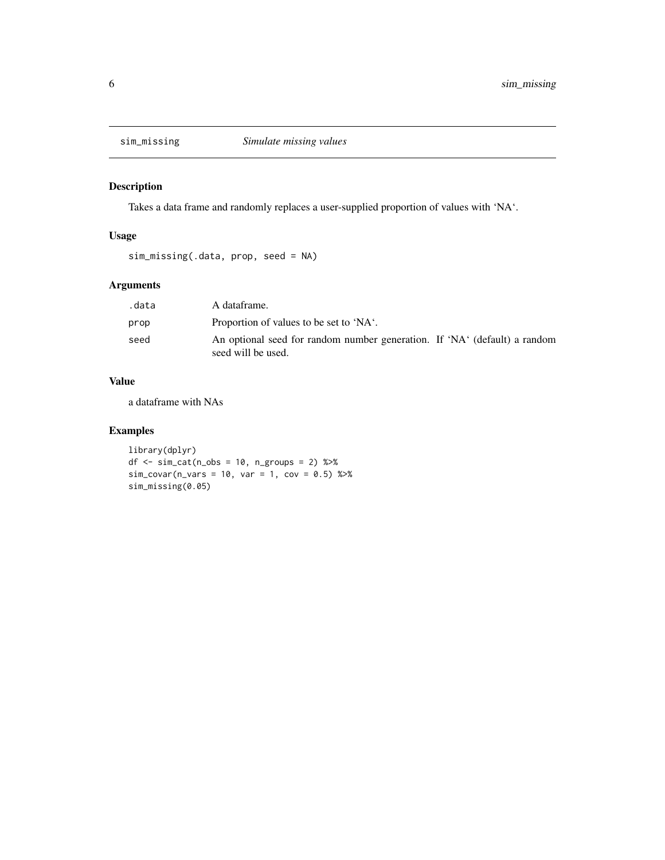<span id="page-5-0"></span>

#### Description

Takes a data frame and randomly replaces a user-supplied proportion of values with 'NA'.

#### Usage

sim\_missing(.data, prop, seed = NA)

#### Arguments

| .data | A dataframe.                                                                                    |
|-------|-------------------------------------------------------------------------------------------------|
| prop  | Proportion of values to be set to 'NA'.                                                         |
| seed  | An optional seed for random number generation. If 'NA' (default) a random<br>seed will be used. |

#### Value

a dataframe with NAs

#### Examples

```
library(dplyr)
df \le sim_cat(n_obs = 10, n_groups = 2) %>%
sim\_covar(n\_vars = 10, var = 1, cov = 0.5) %>%
sim_missing(0.05)
```